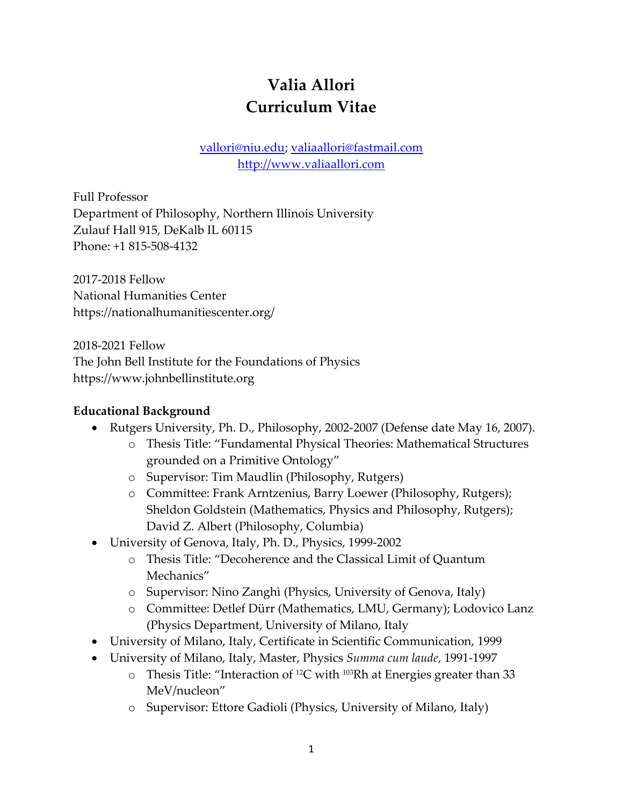# **Valia Allori Curriculum Vitae**

[vallori@niu.edu;](mailto:vallori@niu.edu) [valiaallori@fastmail.com](mailto:valiaallori@fastmail.com) [http://www.valiaallori.com](http://www.valiaallori.com/)

Full Professor Department of Philosophy, Northern Illinois University Zulauf Hall 915, DeKalb IL 60115 Phone: +1 815-508-4132

2017-2018 Fellow National Humanities Center https://nationalhumanitiescenter.org/

2018-2021 Fellow

The John Bell Institute for the Foundations of Physics https://www.johnbellinstitute.org

#### **Educational Background**

- Rutgers University, Ph. D., Philosophy, 2002-2007 (Defense date May 16, 2007).
	- o Thesis Title: "Fundamental Physical Theories: Mathematical Structures grounded on a Primitive Ontology"
	- o Supervisor: Tim Maudlin (Philosophy, Rutgers)
	- o Committee: Frank Arntzenius, Barry Loewer (Philosophy, Rutgers); Sheldon Goldstein (Mathematics, Physics and Philosophy, Rutgers); David Z. Albert (Philosophy, Columbia)
- University of Genova, Italy, Ph. D., Physics, 1999-2002
	- o Thesis Title: "Decoherence and the Classical Limit of Quantum Mechanics"
	- o Supervisor: Nino Zanghì (Physics, University of Genova, Italy)
	- o Committee: Detlef Dürr (Mathematics, LMU, Germany); Lodovico Lanz (Physics Department, University of Milano, Italy
- University of Milano, Italy, Certificate in Scientific Communication, 1999
- University of Milano, Italy, Master, Physics *Summa cum laude*, 1991-1997
	- $\circ$  Thesis Title: "Interaction of <sup>12</sup>C with <sup>103</sup>Rh at Energies greater than 33 MeV/nucleon"
	- o Supervisor: Ettore Gadioli (Physics, University of Milano, Italy)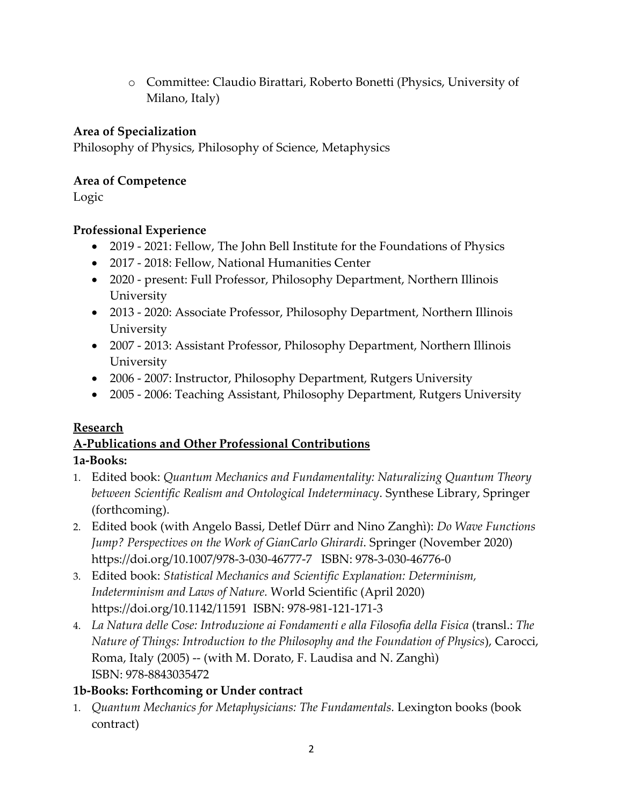o Committee: Claudio Birattari, Roberto Bonetti (Physics, University of Milano, Italy)

#### **Area of Specialization**

Philosophy of Physics, Philosophy of Science, Metaphysics

#### **Area of Competence**

Logic

### **Professional Experience**

- 2019 2021: Fellow, The John Bell Institute for the Foundations of Physics
- 2017 2018: Fellow, National Humanities Center
- 2020 present: Full Professor, Philosophy Department, Northern Illinois University
- 2013 2020: Associate Professor, Philosophy Department, Northern Illinois University
- 2007 2013: Assistant Professor, Philosophy Department, Northern Illinois University
- 2006 2007: Instructor, Philosophy Department, Rutgers University
- 2005 2006: Teaching Assistant, Philosophy Department, Rutgers University

#### **Research**

# **A-Publications and Other Professional Contributions 1a-Books:**

- 1. Edited book: *Quantum Mechanics and Fundamentality: Naturalizing Quantum Theory between Scientific Realism and Ontological Indeterminacy*. Synthese Library, Springer (forthcoming).
- 2. Edited book (with Angelo Bassi, Detlef Dürr and Nino Zanghì): *Do Wave Functions Jump? Perspectives on the Work of GianCarlo Ghirardi*. Springer (November 2020) https://doi.org/10.1007/978-3-030-46777-7 ISBN: 978-3-030-46776-0
- 3. Edited book: *Statistical Mechanics and Scientific Explanation: Determinism, Indeterminism and Laws of Nature.* World Scientific (April 2020) https://doi.org/10.1142/11591 ISBN: 978-981-121-171-3
- 4. *La Natura delle Cose: Introduzione ai Fondamenti e alla Filosofia della Fisica* (transl.: *The Nature of Things: Introduction to the Philosophy and the Foundation of Physics*), Carocci, Roma, Italy (2005) -- (with M. Dorato, F. Laudisa and N. Zanghì) ISBN: 978-8843035472

#### **1b-Books: Forthcoming or Under contract**

1. *Quantum Mechanics for Metaphysicians: The Fundamentals.* Lexington books (book contract)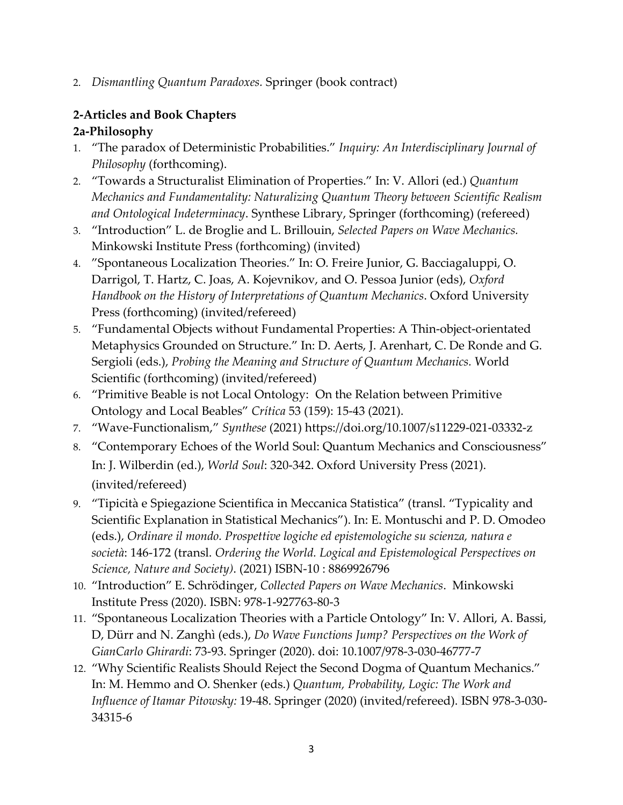2. *Dismantling Quantum Paradoxes.* Springer (book contract)

# **2-Articles and Book Chapters**

#### **2a-Philosophy**

- 1. "The paradox of Deterministic Probabilities." *Inquiry: An Interdisciplinary Journal of Philosophy* (forthcoming).
- 2. "Towards a Structuralist Elimination of Properties." In: V. Allori (ed.) *Quantum Mechanics and Fundamentality: Naturalizing Quantum Theory between Scientific Realism and Ontological Indeterminacy*. Synthese Library, Springer (forthcoming) (refereed)
- 3. "Introduction" L. de Broglie and L. Brillouin, *Selected Papers on Wave Mechanics.* Minkowski Institute Press (forthcoming) (invited)
- 4. "Spontaneous Localization Theories." In: O. Freire Junior, G. Bacciagaluppi, O. Darrigol, T. Hartz, C. Joas, A. Kojevnikov, and O. Pessoa Junior (eds), *Oxford Handbook on the History of Interpretations of Quantum Mechanics*. Oxford University Press (forthcoming) (invited/refereed)
- 5. "Fundamental Objects without Fundamental Properties: A Thin-object-orientated Metaphysics Grounded on Structure." In: D. Aerts, J. Arenhart, C. De Ronde and G. Sergioli (eds.), *Probing the Meaning and Structure of Quantum Mechanics.* World Scientific (forthcoming) (invited/refereed)
- 6. "Primitive Beable is not Local Ontology: On the Relation between Primitive Ontology and Local Beables" *Crítica* 53 (159): 15-43 (2021).
- 7. "Wave-Functionalism," *Synthese* (2021) https://doi.org/10.1007/s11229-021-03332-z
- 8. "Contemporary Echoes of the World Soul: Quantum Mechanics and Consciousness" In: J. Wilberdin (ed.), *World Soul*: 320-342. Oxford University Press (2021). (invited/refereed)
- 9. "Tipicità e Spiegazione Scientifica in Meccanica Statistica" (transl. "Typicality and Scientific Explanation in Statistical Mechanics"). In: E. Montuschi and P. D. Omodeo (eds.), *Ordinare il mondo. Prospettive logiche ed epistemologiche su scienza, natura e società*: 146-172 (transl. *Ordering the World. Logical and Epistemological Perspectives on Science, Nature and Society)*. (2021) ISBN-10 : 8869926796
- 10. "Introduction" E. Schrödinger, *Collected Papers on Wave Mechanics*. Minkowski Institute Press (2020). ISBN: 978-1-927763-80-3
- 11. "Spontaneous Localization Theories with a Particle Ontology" In: V. Allori, A. Bassi, D, Dürr and N. Zanghì (eds.), *Do Wave Functions Jump? Perspectives on the Work of GianCarlo Ghirardi*: 73-93. Springer (2020). doi: 10.1007/978-3-030-46777-7
- 12. "Why Scientific Realists Should Reject the Second Dogma of Quantum Mechanics." In: M. Hemmo and O. Shenker (eds.) *Quantum, Probability, Logic: The Work and Influence of Itamar Pitowsky:* 19-48. Springer (2020) (invited/refereed). ISBN 978-3-030- 34315-6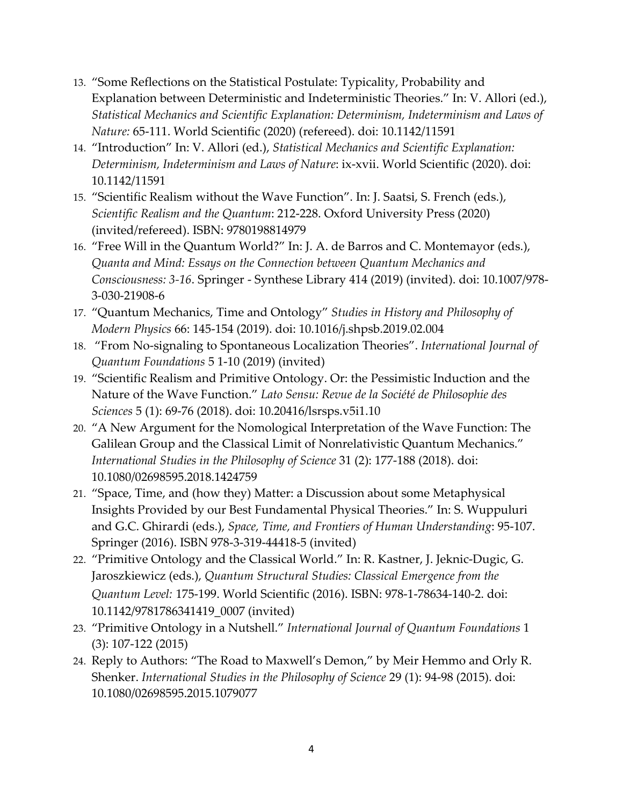- 13. "Some Reflections on the Statistical Postulate: Typicality, Probability and Explanation between Deterministic and Indeterministic Theories." In: V. Allori (ed.), *Statistical Mechanics and Scientific Explanation: Determinism, Indeterminism and Laws of Nature:* 65-111. World Scientific (2020) (refereed). doi: 10.1142/11591
- 14. "Introduction" In: V. Allori (ed.), *Statistical Mechanics and Scientific Explanation: Determinism, Indeterminism and Laws of Nature*: ix-xvii. World Scientific (2020). doi: 10.1142/11591
- 15. "Scientific Realism without the Wave Function". In: J. Saatsi, S. French (eds.), *Scientific Realism and the Quantum*: 212-228. Oxford University Press (2020) (invited/refereed). ISBN: 9780198814979
- 16. "Free Will in the Quantum World?" In: J. A. de Barros and C. Montemayor (eds.), *Quanta and Mind: Essays on the Connection between Quantum Mechanics and Consciousness: 3-16*. Springer - Synthese Library 414 (2019) (invited). doi: 10.1007/978- 3-030-21908-6
- 17. "Quantum Mechanics, Time and Ontology" *Studies in History and Philosophy of Modern Physics* 66: 145-154 (2019). doi: 10.1016/j.shpsb.2019.02.004
- 18. "From No-signaling to Spontaneous Localization Theories". *International Journal of Quantum Foundations* 5 1-10 (2019) (invited)
- 19. "Scientific Realism and Primitive Ontology. Or: the Pessimistic Induction and the Nature of the Wave Function." *Lato Sensu: Revue de la Société de Philosophie des Sciences* 5 (1): 69-76 (2018). doi: 10.20416/lsrsps.v5i1.10
- 20. "A New Argument for the Nomological Interpretation of the Wave Function: The Galilean Group and the Classical Limit of Nonrelativistic Quantum Mechanics." *International Studies in the Philosophy of Science* 31 (2): 177-188 (2018). doi: 10.1080/02698595.2018.1424759
- 21. "Space, Time, and (how they) Matter: a Discussion about some [Metaphysical](http://philpapers.org/archive/ALLSTA-4.pdf) Insights Provided by our Best [Fundamental](http://philpapers.org/archive/ALLSTA-4.pdf) Physical Theories." In: S. Wuppuluri and G.C. Ghirardi (eds.), *Space, Time, and Frontiers of Human Understanding*: 95-107. Springer (2016). ISBN 978-3-319-44418-5 (invited)
- 22. ["Primitive](http://philpapers.org/archive/ALLPOA-3.pdf) Ontology and the Classical World." In: R. Kastner, J. Jeknic-Dugic, G. Jaroszkiewicz (eds.), *Quantum Structural Studies: Classical Emergence from the Quantum Level:* 175-199. World Scientific (2016). ISBN: 978-1-78634-140-2. doi: 10.1142/9781786341419\_0007 (invited)
- 23. ["Primitive](http://philsci-archive.pitt.edu/11651/2/IJQF-final.pdf) Ontology in a Nutshell." *International Journal of Quantum Foundations* 1 (3): 107-122 (2015)
- 24. Reply to Authors: "The Road to [Maxwell's](http://valiaallori.com/wp-content/uploads/2016/07/Reply_to_Authors_The_Road_to_Maxwells_De.pdf) Demon," by Meir Hemmo and Orly R. [Shenker.](http://valiaallori.com/wp-content/uploads/2016/07/Reply_to_Authors_The_Road_to_Maxwells_De.pdf) *International Studies in the Philosophy of Science* 29 (1): 94-98 (2015). doi: 10.1080/02698595.2015.1079077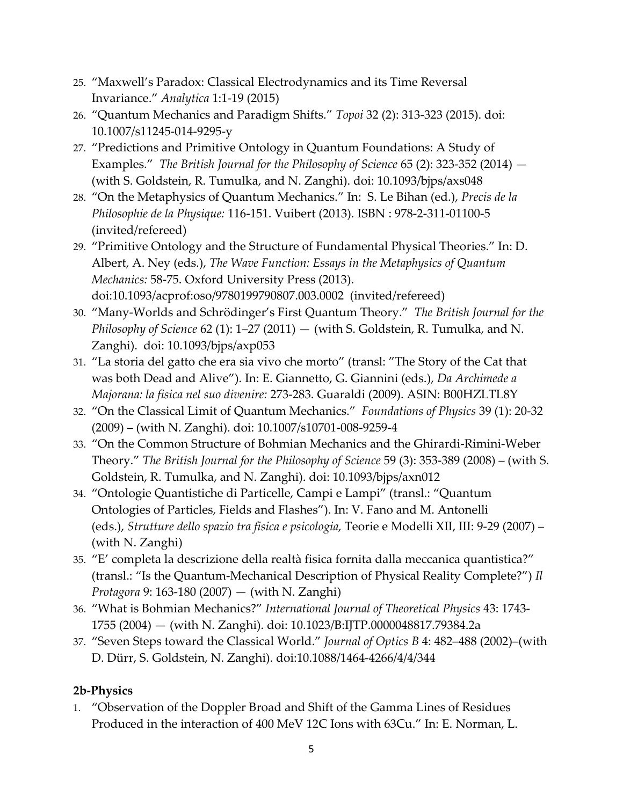- 25. "Maxwell's Paradox: Classical [Electrodynamics](http://philsci-archive.pitt.edu/11650/1/MaxwellParadox-analytica.pdf) and its Time Reversal I[nvariance."](http://philsci-archive.pitt.edu/11650/1/MaxwellParadox-analytica.pdf) *Analytica* 1:1-19 (2015)
- 26. ["Quantum](http://philpapers.org/archive/ALLQMA.pdf) Mechanics and Paradigm Shifts." *Topoi* 32 (2): 313-323 (2015). doi: 10.1007/s11245-014-9295-y
- 27. "Predictions and Primitive Ontology in Quantum [Foundations:](http://philsci-archive.pitt.edu/9338/1/PredictionsAndPO.pdf) A Study of [Examples."](http://philsci-archive.pitt.edu/9338/1/PredictionsAndPO.pdf) *The British Journal for the Philosophy of Science* 65 (2): 323-352 (2014) — (with S. Goldstein, R. Tumulka, and N. Zanghi). doi: 10.1093/bjps/axs048
- 28. "On the [Metaphysics](http://philsci-archive.pitt.edu/9343/1/Allori_-_LeBihan-On_the_Metaphysics_of_Quantum_Mechanics-finale.pdf) of Quantum Mechanics." In: S. Le Bihan (ed.), *Precis de la Philosophie de la Physique:* 116-151. Vuibert (2013). ISBN : 978-2-311-01100-5 (invited/refereed)
- 29. "Primitive Ontology and the Structure of [Fundamental](http://philsci-archive.pitt.edu/9342/) Physical Theories." In: D. Albert, A. Ney (eds.), *The Wave Function: Essays in the Metaphysics of Quantum Mechanics:* 58-75. Oxford University Press (2013). doi:10.1093/acprof:oso/9780199790807.003.0002 (invited/refereed)
- 30. "Many-Worlds and [Schrödinger's](http://arxiv.org/pdf/0903.2211.pdf) First Quantum Theory." *The British Journal for the Philosophy of Science* 62 (1): 1–27 (2011) — (with S. Goldstein, R. Tumulka, and N. Zanghi). doi: 10.1093/bjps/axp053
- 31. "La storia del gatto che era sia vivo che [morto"](http://philpapers.org/archive/ALLLSD-3.pdf) (transl: "The Story of the Cat that was both Dead and Alive"). In: E. Giannetto, G. Giannini (eds.), *Da Archimede a Majorana: la fisica nel suo divenire:* 273-283. Guaraldi (2009). ASIN: B00HZLTL8Y
- 32. "On the Classical Limit of Quantum [Mechanics."](http://philsci-archive.pitt.edu/9339/1/classlim.pdf) *Foundations of Physics* 39 (1): 20-32 (2009) – (with N. Zanghi). doi: 10.1007/s10701-008-9259-4
- 33. "On the Common Structure of Bohmian Mechanics and the [Ghirardi-Rimini-Weber](http://philsci-archive.pitt.edu/2811/1/bmgrw.pdf) [Theory."](http://philsci-archive.pitt.edu/2811/1/bmgrw.pdf) *The British Journal for the Philosophy of Science* 59 (3): 353-389 (2008) – (with S. Goldstein, R. Tumulka, and N. Zanghi). doi: 10.1093/bjps/axn012
- 34. "Ontologie [Quantistiche](http://philpapers.org/archive/ALLOQD.pdf) di Particelle, Campi e [Lampi](http://philpapers.org/rec/ALLOQD)" (transl.: "Quantum Ontologies of Particles, Fields and Flashes"). In: V. Fano and M. Antonelli (eds.), *Strutture dello spazio tra fisica e psicologia,* Teorie e Modelli XII, III: 9-29 (2007) – (with N. Zanghi)
- 35. "E' completa la descrizione della realtà fisica fornita dalla meccanica [quantistica?](http://philpapers.org/archive/ALLECL.pdf)" (transl.: "Is the Quantum-Mechanical Description of Physical Reality Complete?") *Il Protagora* 9: 163-180 (2007) — (with N. Zanghi)
- 36. "What is Bohmian [Mechanics?](http://philsci-archive.pitt.edu/9340/1/wibm.pdf)" *International Journal of Theoretical Physics* 43: 1743- 1755 (2004) — (with N. Zanghi). doi: 10.1023/B:IJTP.0000048817.79384.2a
- 37. "Seven Steps toward the [Classical](http://philsci-archive.pitt.edu/9341/) World." *Journal of Optics B* 4: 482–488 (2002)–(with D. Dürr, S. Goldstein, N. Zanghi). doi:10.1088/1464-4266/4/4/344

#### **2b-Physics**

1. "Observation of the Doppler Broad and Shift of the Gamma Lines of Residues Produced in the interaction of 400 MeV 12C Ions with 63Cu." In: E. Norman, L.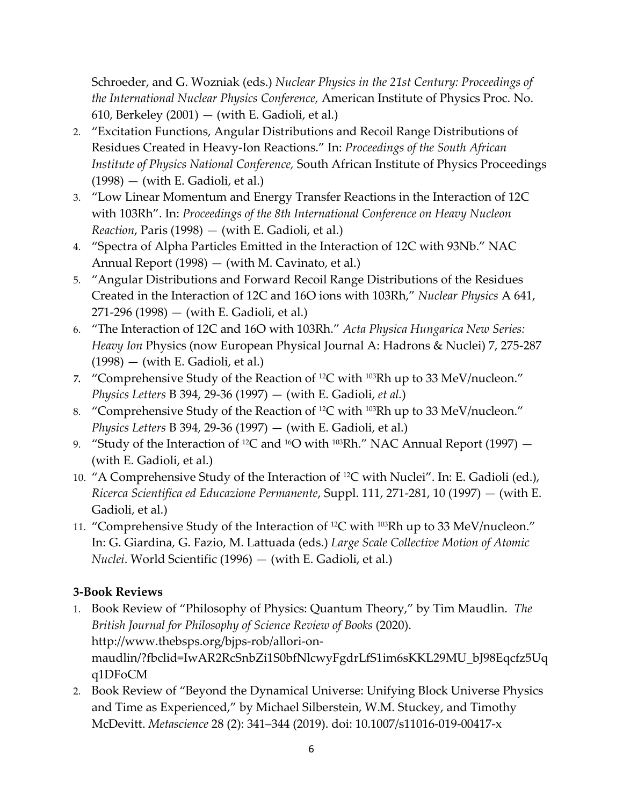Schroeder, and G. Wozniak (eds.) *Nuclear Physics in the 21st Century: Proceedings of the International Nuclear Physics Conference,* American Institute of Physics Proc. No. 610, Berkeley  $(2001)$  — (with E. Gadioli, et al.)

- 2. "Excitation Functions, Angular Distributions and Recoil Range Distributions of Residues Created in Heavy-Ion Reactions." In: *Proceedings of the South African Institute of Physics National Conference,* South African Institute of Physics Proceedings  $(1998) - (with E. Gadioli, et al.)$
- 3. "Low Linear Momentum and Energy Transfer Reactions in the Interaction of 12C with 103Rh". In: *Proceedings of the 8th International Conference on Heavy Nucleon Reaction*, Paris (1998) — (with E. Gadioli, et al.)
- 4. "Spectra of Alpha Particles Emitted in the Interaction of 12C with 93Nb." NAC Annual Report (1998) — (with M. Cavinato, et al.)
- 5. "Angular Distributions and Forward Recoil Range Distributions of the Residues Created in the Interaction of 12C and 16O ions with 103Rh," *Nuclear Physics* A 641, 271-296 (1998) — (with E. Gadioli, et al.)
- 6. "The Interaction of 12C and 16O with 103Rh." *Acta Physica Hungarica New Series: Heavy Ion* Physics (now European Physical Journal A: Hadrons & Nuclei) 7, 275-287  $(1998)$  — (with E. Gadioli, et al.)
- *7.* "Comprehensive Study of the Reaction of 12C with 103Rh up to 33 MeV/nucleon." *Physics Letters* B 394, 29-36 (1997) — (with E. Gadioli, *et al.*)
- 8. "Comprehensive Study of the Reaction of <sup>12</sup>C with <sup>103</sup>Rh up to 33 MeV/nucleon." *Physics Letters* B 394, 29-36 (1997) — (with E. Gadioli, et al.)
- 9. "Study of the Interaction of <sup>12</sup>C and <sup>16</sup>O with <sup>103</sup>Rh." NAC Annual Report (1997) (with E. Gadioli, et al.)
- 10. "A Comprehensive Study of the Interaction of 12C with Nuclei". In: E. Gadioli (ed.), *Ricerca Scientifica ed Educazione Permanente*, Suppl. 111, 271-281, 10 (1997) — (with E. Gadioli, et al.)
- 11. "Comprehensive Study of the Interaction of 12C with 103Rh up to 33 MeV/nucleon." In: G. Giardina, G. Fazio, M. Lattuada (eds.) *Large Scale Collective Motion of Atomic Nuclei*. World Scientific (1996) — (with E. Gadioli, et al.)

# **3-Book Reviews**

- 1. Book Review of "Philosophy of Physics: Quantum Theory," by Tim Maudlin. *The British Journal for Philosophy of Science Review of Books* (2020). http://www.thebsps.org/bjps-rob/allori-onmaudlin/?fbclid=IwAR2RcSnbZi1S0bfNlcwyFgdrLfS1im6sKKL29MU\_bJ98Eqcfz5Uq q1DFoCM
- 2. Book Review of "Beyond the Dynamical Universe: Unifying Block Universe Physics and Time as Experienced," by Michael Silberstein, W.M. Stuckey, and Timothy McDevitt. *Metascience* 28 (2): 341–344 (2019). doi: 10.1007/s11016-019-00417-x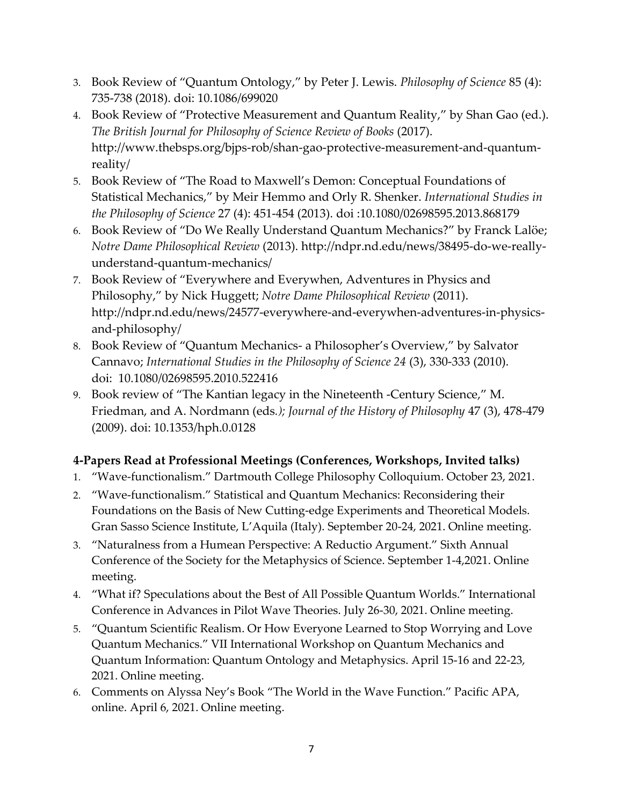- 3. Book Review of "Quantum Ontology," by Peter J. Lewis. *Philosophy of Science* 85 (4): 735-738 (2018). doi: 10.1086/699020
- 4. Book Review of "Protective Measurement and Quantum Reality," by Shan Gao (ed.). *The British Journal for Philosophy of Science Review of Books* (2017). http://www.thebsps.org/bjps-rob/shan-gao-protective-measurement-and-quantumreality/
- 5. [Book Review of "The Road to Maxwell's Demon: Con](http://valiaallori.com/wp-content/uploads/2016/07/Book_Review_of_The_Road_to_Maxwells_Demo.pdf)ceptual Foundations of [Statistical Mechanics](http://valiaallori.com/wp-content/uploads/2016/07/Book_Review_of_The_Road_to_Maxwells_Demo.pdf)[,"](http://www.google.com/url?q=http%3A%2F%2Fwww.niu.edu%2F%257Evallori%2FAllori-Review-The%2520Road%2520to%2520Maxwell.pdf&sa=D&sntz=1&usg=AFrqEzfF8N3zYCQrIepQ3gS3i8OkzY9jag) by Meir Hemmo and Orly R. Shenker. *International Studies in the Philosophy of Science* 27 (4): 451-454 (2013). doi :10.1080/02698595.2013.868179
- 6. [Book Review of "](http://www.google.com/url?q=http%3A%2F%2Fndpr.nd.edu%2Fnews%2F38495-do-we-really-understand-quantum-mechanics%2F&sa=D&sntz=1&usg=AFrqEzePwYHiFiqQ7vzTbCi6U5CnZRGNGw)[Do We Really Understand Quantum Mechanics](http://ndpr.nd.edu/news/38495-do-we-really-understand-quantum-mechanics/)[?"](http://www.google.com/url?q=http%3A%2F%2Fndpr.nd.edu%2Fnews%2F38495-do-we-really-understand-quantum-mechanics%2F&sa=D&sntz=1&usg=AFrqEzePwYHiFiqQ7vzTbCi6U5CnZRGNGw) by Franck Lalöe; *Notre Dame Philosophical Review* (2013). http://ndpr.nd.edu/news/38495-do-we-reallyunderstand-quantum-mechanics/
- 7. [Book Review of "Everywhere and Everywhen, Adventures in Physics and](http://ndpr.nd.edu/news/24577-everywhere-and-everywhen-adventures-in-physics-and-philosophy/)  [Philosophy,"](http://ndpr.nd.edu/news/24577-everywhere-and-everywhen-adventures-in-physics-and-philosophy/) by Nick Huggett; *Notre Dame Philosophical Review* (2011). http://ndpr.nd.edu/news/24577-everywhere-and-everywhen-adventures-in-physicsand-philosophy/
- 8. [Book Review of "Quantum Mechanics](http://valiaallori.com/wp-content/uploads/2016/07/Book_Review_of_Quantum_Theory_A_Philosop.pdf) a Philosopher's Overview," by Salvator Cannavo; *International Studies in the Philosophy of Science 24* (3), 330-333 (2010). doi: 10.1080/02698595.2010.522416
- 9. [Book review of "The Kantian legacy in the Nineteenth](http://muse.jhu.edu/article/269928) -Century Science," M. Friedman, and A. Nordmann (eds*.); Journal of the History of Philosophy* 47 (3), 478-479 (2009). doi: 10.1353/hph.0.0128

#### **4-Papers Read at Professional Meetings (Conferences, Workshops, Invited talks)**

- 1. "Wave-functionalism." Dartmouth College Philosophy Colloquium. October 23, 2021.
- 2. "Wave-functionalism." Statistical and Quantum Mechanics: Reconsidering their Foundations on the Basis of New Cutting-edge Experiments and Theoretical Models. Gran Sasso Science Institute, L'Aquila (Italy). September 20-24, 2021. Online meeting.
- 3. "Naturalness from a Humean Perspective: A Reductio Argument." Sixth Annual Conference of the Society for the Metaphysics of Science. September 1-4,2021. Online meeting.
- 4. "What if? Speculations about the Best of All Possible Quantum Worlds." International Conference in Advances in Pilot Wave Theories. July 26-30, 2021. Online meeting.
- 5. "Quantum Scientific Realism. Or How Everyone Learned to Stop Worrying and Love Quantum Mechanics." VII International Workshop on Quantum Mechanics and Quantum Information: Quantum Ontology and Metaphysics. April 15-16 and 22-23, 2021. Online meeting.
- 6. Comments on Alyssa Ney's Book "The World in the Wave Function." Pacific APA, online. April 6, 2021. Online meeting.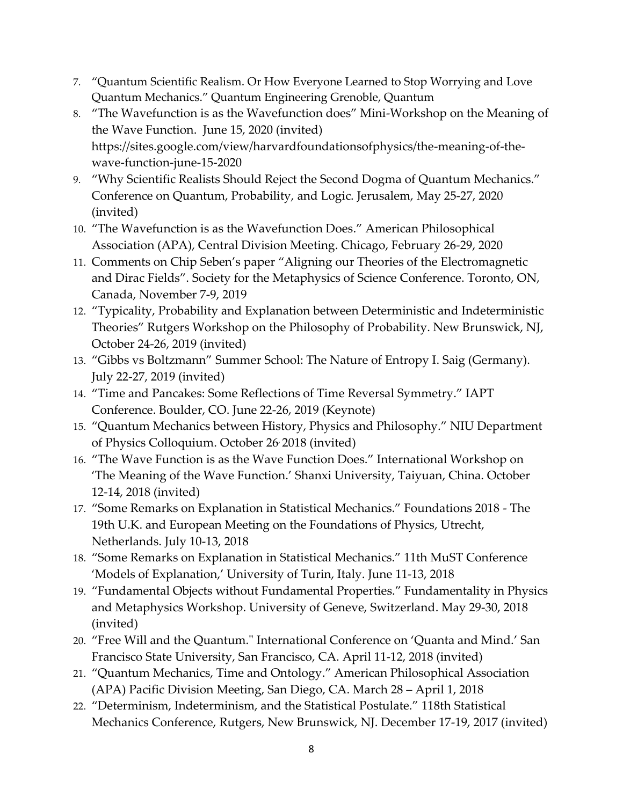- 7. "Quantum Scientific Realism. Or How Everyone Learned to Stop Worrying and Love Quantum Mechanics." Quantum Engineering Grenoble, Quantum
- 8. "The Wavefunction is as the Wavefunction does" Mini-Workshop on the Meaning of the Wave Function. June 15, 2020 (invited) https://sites.google.com/view/harvardfoundationsofphysics/the-meaning-of-thewave-function-june-15-2020
- 9. "Why Scientific Realists Should Reject the Second Dogma of Quantum Mechanics." Conference on Quantum, Probability, and Logic. Jerusalem, May 25-27, 2020 (invited)
- 10. "The Wavefunction is as the Wavefunction Does." American Philosophical Association (APA), Central Division Meeting. Chicago, February 26-29, 2020
- 11. Comments on Chip Seben's paper "Aligning our Theories of the Electromagnetic and Dirac Fields". Society for the Metaphysics of Science Conference. Toronto, ON, Canada, November 7-9, 2019
- 12. "Typicality, Probability and Explanation between Deterministic and Indeterministic Theories" Rutgers Workshop on the Philosophy of Probability. New Brunswick, NJ, October 24-26, 2019 (invited)
- 13. "Gibbs vs Boltzmann" Summer School: The Nature of Entropy I. Saig (Germany). July 22-27, 2019 (invited)
- 14. "Time and Pancakes: Some Reflections of Time Reversal Symmetry." IAPT Conference. Boulder, CO. June 22-26, 2019 (Keynote)
- 15. "Quantum Mechanics between History, Physics and Philosophy." NIU Department of Physics Colloquium. October 26, 2018 (invited)
- 16. "The Wave Function is as the Wave Function Does." International Workshop on 'The Meaning of the Wave Function.' Shanxi University, Taiyuan, China. October 12-14, 2018 (invited)
- 17. "Some Remarks on Explanation in Statistical Mechanics." Foundations 2018 The 19th U.K. and European Meeting on the Foundations of Physics, Utrecht, Netherlands. July 10-13, 2018
- 18. "Some Remarks on Explanation in Statistical Mechanics." 11th MuST Conference 'Models of Explanation,' University of Turin, Italy. June 11-13, 2018
- 19. "Fundamental Objects without Fundamental Properties." Fundamentality in Physics and Metaphysics Workshop. University of Geneve, Switzerland. May 29-30, 2018 (invited)
- 20. "Free Will and the Quantum." International Conference on 'Quanta and Mind.' San Francisco State University, San Francisco, CA. April 11-12, 2018 (invited)
- 21. "Quantum Mechanics, Time and Ontology." American Philosophical Association (APA) Pacific Division Meeting, San Diego, CA. March 28 – April 1, 2018
- 22. "Determinism, Indeterminism, and the Statistical Postulate." 118th Statistical Mechanics Conference, Rutgers, New Brunswick, NJ. December 17-19, 2017 (invited)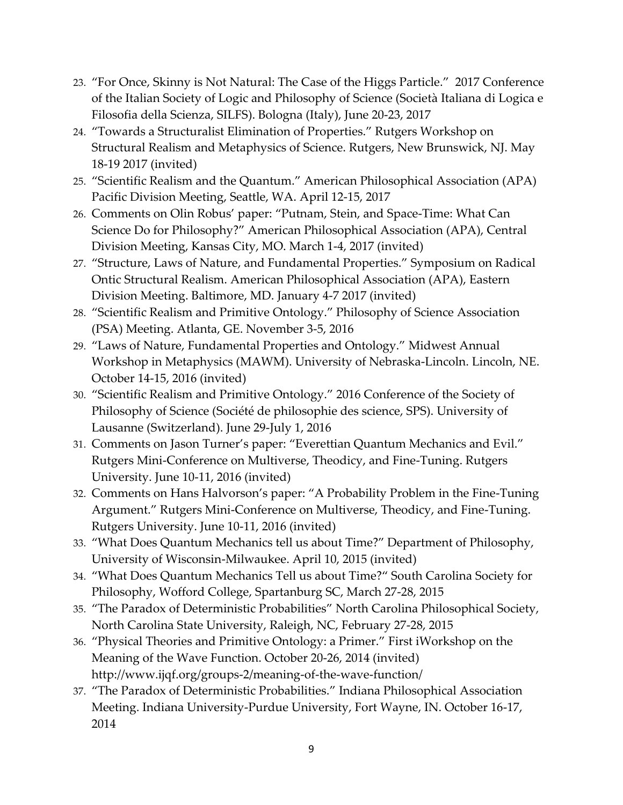- 23. "For Once, Skinny is Not Natural: The Case of the Higgs Particle." 2017 Conference of the Italian Society of Logic and Philosophy of Science (Società Italiana di Logica e Filosofia della Scienza, SILFS). Bologna (Italy), June 20-23, 2017
- 24. "Towards a Structuralist Elimination of Properties." Rutgers Workshop on Structural Realism and Metaphysics of Science. Rutgers, New Brunswick, NJ. May 18-19 2017 (invited)
- 25. "Scientific Realism and the Quantum." American Philosophical Association (APA) Pacific Division Meeting, Seattle, WA. April 12-15, 2017
- 26. Comments on Olin Robus' paper: "Putnam, Stein, and Space-Time: What Can Science Do for Philosophy?" American Philosophical Association (APA), Central Division Meeting, Kansas City, MO. March 1-4, 2017 (invited)
- 27. "Structure, Laws of Nature, and Fundamental Properties." Symposium on Radical Ontic Structural Realism. American Philosophical Association (APA), Eastern Division Meeting. Baltimore, MD. January 4-7 2017 (invited)
- 28. "Scientific Realism and Primitive Ontology." Philosophy of Science Association (PSA) Meeting. Atlanta, GE. November 3-5, 2016
- 29. "Laws of Nature, Fundamental Properties and Ontology." Midwest Annual Workshop in Metaphysics (MAWM). University of Nebraska-Lincoln. Lincoln, NE. October 14-15, 2016 (invited)
- 30. "Scientific Realism and Primitive Ontology." 2016 Conference of the Society of Philosophy of Science (Société de philosophie des science, SPS). University of Lausanne (Switzerland). June 29-July 1, 2016
- 31. Comments on Jason Turner's paper: "Everettian Quantum Mechanics and Evil." Rutgers Mini-Conference on Multiverse, Theodicy, and Fine-Tuning. Rutgers University. June 10-11, 2016 (invited)
- 32. Comments on Hans Halvorson's paper: "A Probability Problem in the Fine-Tuning Argument." Rutgers Mini-Conference on Multiverse, Theodicy, and Fine-Tuning. Rutgers University. June 10-11, 2016 (invited)
- 33. "What Does Quantum Mechanics tell us about Time?" Department of Philosophy, University of Wisconsin-Milwaukee. April 10, 2015 (invited)
- 34. "What Does Quantum Mechanics Tell us about Time?" South Carolina Society for Philosophy, Wofford College, Spartanburg SC, March 27-28, 2015
- 35. "The Paradox of Deterministic Probabilities" North Carolina Philosophical Society, North Carolina State University, Raleigh, NC, February 27-28, 2015
- 36. "Physical Theories and Primitive Ontology: a Primer." First iWorkshop on the Meaning of the Wave Function. October 20-26, 2014 (invited) http://www.ijqf.org/groups-2/meaning-of-the-wave-function/
- 37. "The Paradox of Deterministic Probabilities." Indiana Philosophical Association Meeting. Indiana University-Purdue University, Fort Wayne, IN. October 16-17, 2014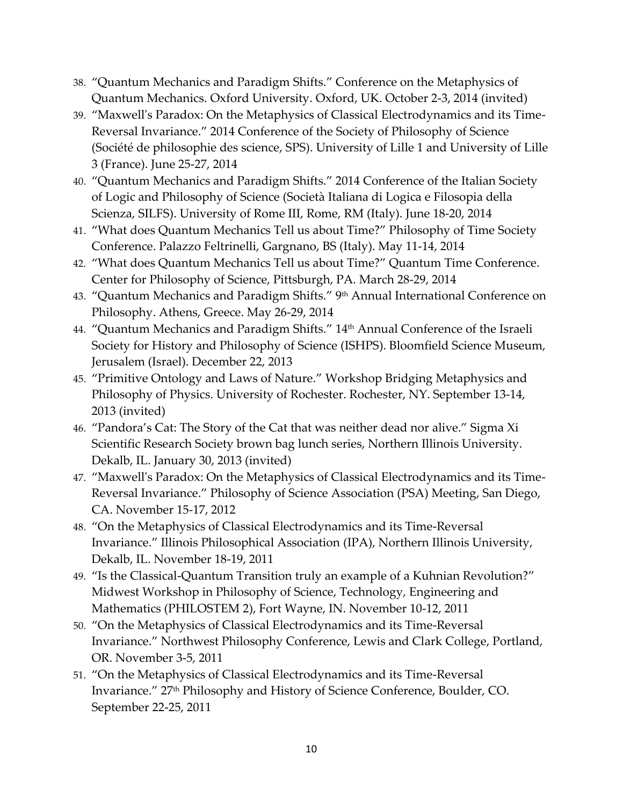- 38. "Quantum Mechanics and Paradigm Shifts." Conference on the Metaphysics of Quantum Mechanics. Oxford University. Oxford, UK. October 2-3, 2014 (invited)
- 39. "Maxwell's Paradox: On the Metaphysics of Classical Electrodynamics and its Time-Reversal Invariance." 2014 Conference of the Society of Philosophy of Science (Société de philosophie des science, SPS). University of Lille 1 and University of Lille 3 (France). June 25-27, 2014
- 40. "Quantum Mechanics and Paradigm Shifts." 2014 Conference of the Italian Society of Logic and Philosophy of Science (Società Italiana di Logica e Filosopia della Scienza, SILFS). University of Rome III, Rome, RM (Italy). June 18-20, 2014
- 41. "What does Quantum Mechanics Tell us about Time?" Philosophy of Time Society Conference. Palazzo Feltrinelli, Gargnano, BS (Italy). May 11-14, 2014
- 42. "What does Quantum Mechanics Tell us about Time?" Quantum Time Conference. Center for Philosophy of Science, Pittsburgh, PA. March 28-29, 2014
- 43. "Quantum Mechanics and Paradigm Shifts." 9th Annual International Conference on Philosophy. Athens, Greece. May 26-29, 2014
- 44. "Quantum Mechanics and Paradigm Shifts." 14<sup>th</sup> Annual Conference of the Israeli Society for History and Philosophy of Science (ISHPS). Bloomfield Science Museum, Jerusalem (Israel). December 22, 2013
- 45. "Primitive Ontology and Laws of Nature." Workshop Bridging Metaphysics and Philosophy of Physics. University of Rochester. Rochester, NY. September 13-14, 2013 (invited)
- 46. "Pandora's Cat: The Story of the Cat that was neither dead nor alive." Sigma Xi Scientific Research Society brown bag lunch series, Northern Illinois University. Dekalb, IL. January 30, 2013 (invited)
- 47. "Maxwell's Paradox: On the Metaphysics of Classical Electrodynamics and its Time-Reversal Invariance." Philosophy of Science Association (PSA) Meeting, San Diego, CA. November 15-17, 2012
- 48. "On the Metaphysics of Classical Electrodynamics and its Time-Reversal Invariance." Illinois Philosophical Association (IPA), Northern Illinois University, Dekalb, IL. November 18-19, 2011
- 49. "Is the Classical-Quantum Transition truly an example of a Kuhnian Revolution?" Midwest Workshop in Philosophy of Science, Technology, Engineering and Mathematics (PHILOSTEM 2), Fort Wayne, IN. November 10-12, 2011
- 50. "On the Metaphysics of Classical Electrodynamics and its Time-Reversal Invariance." Northwest Philosophy Conference, Lewis and Clark College, Portland, OR. November 3-5, 2011
- 51. "On the Metaphysics of Classical Electrodynamics and its Time-Reversal Invariance." 27<sup>th</sup> Philosophy and History of Science Conference, Boulder, CO. September 22-25, 2011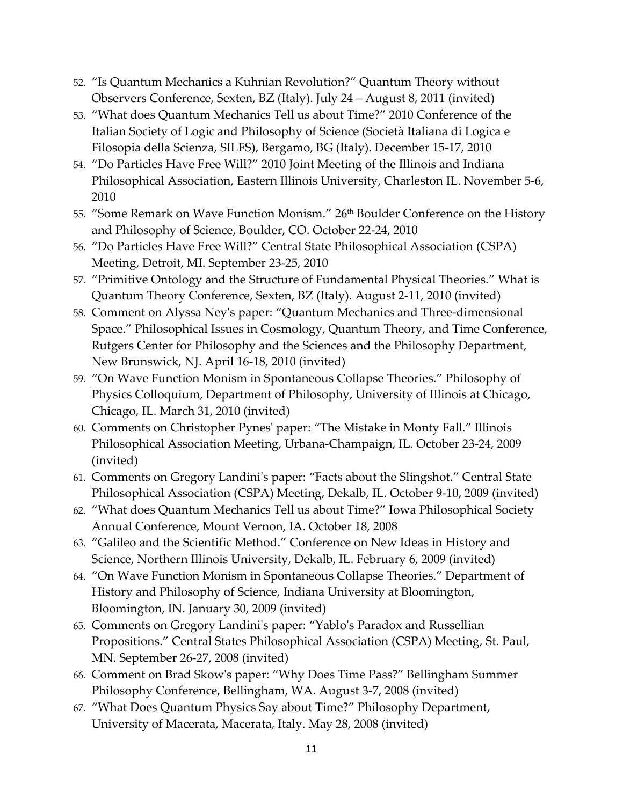- 52. "Is Quantum Mechanics a Kuhnian Revolution?" Quantum Theory without Observers Conference, Sexten, BZ (Italy). July 24 – August 8, 2011 (invited)
- 53. "What does Quantum Mechanics Tell us about Time?" 2010 Conference of the Italian Society of Logic and Philosophy of Science (Società Italiana di Logica e Filosopia della Scienza, SILFS), Bergamo, BG (Italy). December 15-17, 2010
- 54. "Do Particles Have Free Will?" 2010 Joint Meeting of the Illinois and Indiana Philosophical Association, Eastern Illinois University, Charleston IL. November 5-6, 2010
- 55. "Some Remark on Wave Function Monism." 26<sup>th</sup> Boulder Conference on the History and Philosophy of Science, Boulder, CO. October 22-24, 2010
- 56. "Do Particles Have Free Will?" Central State Philosophical Association (CSPA) Meeting, Detroit, MI. September 23-25, 2010
- 57. "Primitive Ontology and the Structure of Fundamental Physical Theories." What is Quantum Theory Conference, Sexten, BZ (Italy). August 2-11, 2010 (invited)
- 58. Comment on Alyssa Ney's paper: "Quantum Mechanics and Three-dimensional Space." Philosophical Issues in Cosmology, Quantum Theory, and Time Conference, Rutgers Center for Philosophy and the Sciences and the Philosophy Department, New Brunswick, NJ. April 16-18, 2010 (invited)
- 59. "On Wave Function Monism in Spontaneous Collapse Theories." Philosophy of Physics Colloquium, Department of Philosophy, University of Illinois at Chicago, Chicago, IL. March 31, 2010 (invited)
- 60. Comments on Christopher Pynes' paper: "The Mistake in Monty Fall." Illinois Philosophical Association Meeting, Urbana-Champaign, IL. October 23-24, 2009 (invited)
- 61. Comments on Gregory Landini's paper: "Facts about the Slingshot." Central State Philosophical Association (CSPA) Meeting, Dekalb, IL. October 9-10, 2009 (invited)
- 62. "What does Quantum Mechanics Tell us about Time?" Iowa Philosophical Society Annual Conference, Mount Vernon, IA. October 18, 2008
- 63. "Galileo and the Scientific Method." Conference on New Ideas in History and Science, Northern Illinois University, Dekalb, IL. February 6, 2009 (invited)
- 64. "On Wave Function Monism in Spontaneous Collapse Theories." Department of History and Philosophy of Science, Indiana University at Bloomington, Bloomington, IN. January 30, 2009 (invited)
- 65. Comments on Gregory Landini's paper: "Yablo's Paradox and Russellian Propositions." Central States Philosophical Association (CSPA) Meeting, St. Paul, MN. September 26-27, 2008 (invited)
- 66. Comment on Brad Skow's paper: "Why Does Time Pass?" Bellingham Summer Philosophy Conference, Bellingham, WA. August 3-7, 2008 (invited)
- 67. "What Does Quantum Physics Say about Time?" Philosophy Department, University of Macerata, Macerata, Italy. May 28, 2008 (invited)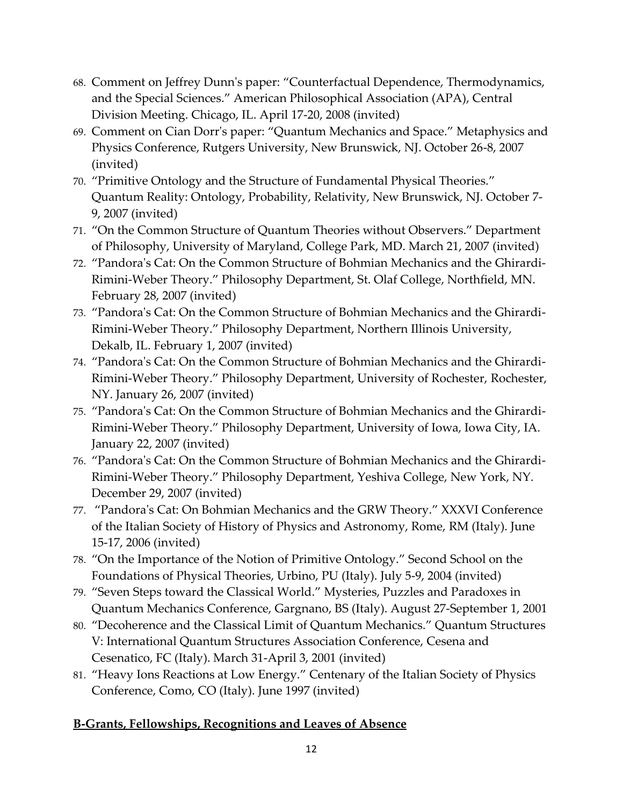- 68. Comment on Jeffrey Dunn's paper: "Counterfactual Dependence, Thermodynamics, and the Special Sciences." American Philosophical Association (APA), Central Division Meeting. Chicago, IL. April 17-20, 2008 (invited)
- 69. Comment on Cian Dorr's paper: "Quantum Mechanics and Space." Metaphysics and Physics Conference, Rutgers University, New Brunswick, NJ. October 26-8, 2007 (invited)
- 70. "Primitive Ontology and the Structure of Fundamental Physical Theories." Quantum Reality: Ontology, Probability, Relativity, New Brunswick, NJ. October 7- 9, 2007 (invited)
- 71. "On the Common Structure of Quantum Theories without Observers." Department of Philosophy, University of Maryland, College Park, MD. March 21, 2007 (invited)
- 72. "Pandora's Cat: On the Common Structure of Bohmian Mechanics and the Ghirardi-Rimini-Weber Theory." Philosophy Department, St. Olaf College, Northfield, MN. February 28, 2007 (invited)
- 73. "Pandora's Cat: On the Common Structure of Bohmian Mechanics and the Ghirardi-Rimini-Weber Theory." Philosophy Department, Northern Illinois University, Dekalb, IL. February 1, 2007 (invited)
- 74. "Pandora's Cat: On the Common Structure of Bohmian Mechanics and the Ghirardi-Rimini-Weber Theory." Philosophy Department, University of Rochester, Rochester, NY. January 26, 2007 (invited)
- 75. "Pandora's Cat: On the Common Structure of Bohmian Mechanics and the Ghirardi-Rimini-Weber Theory." Philosophy Department, University of Iowa, Iowa City, IA. January 22, 2007 (invited)
- 76. "Pandora's Cat: On the Common Structure of Bohmian Mechanics and the Ghirardi-Rimini-Weber Theory." Philosophy Department, Yeshiva College, New York, NY. December 29, 2007 (invited)
- 77. "Pandora's Cat: On Bohmian Mechanics and the GRW Theory." XXXVI Conference of the Italian Society of History of Physics and Astronomy, Rome, RM (Italy). June 15-17, 2006 (invited)
- 78. "On the Importance of the Notion of Primitive Ontology." Second School on the Foundations of Physical Theories, Urbino, PU (Italy). July 5-9, 2004 (invited)
- 79. "Seven Steps toward the Classical World." Mysteries, Puzzles and Paradoxes in Quantum Mechanics Conference, Gargnano, BS (Italy). August 27-September 1, 2001
- 80. "Decoherence and the Classical Limit of Quantum Mechanics." Quantum Structures V: International Quantum Structures Association Conference, Cesena and Cesenatico, FC (Italy). March 31-April 3, 2001 (invited)
- 81. "Heavy Ions Reactions at Low Energy." Centenary of the Italian Society of Physics Conference, Como, CO (Italy). June 1997 (invited)

#### **B-Grants, Fellowships, Recognitions and Leaves of Absence**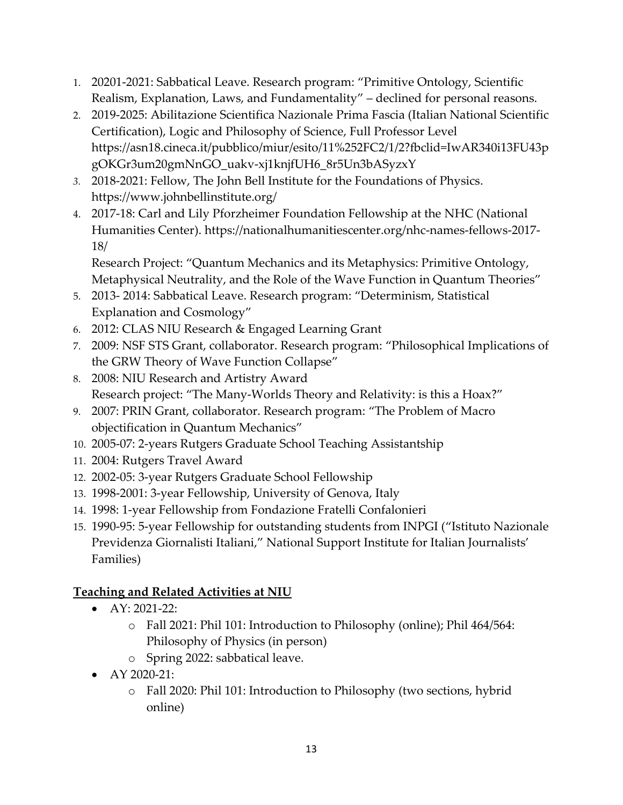- 1. 20201-2021: Sabbatical Leave. Research program: "Primitive Ontology, Scientific Realism, Explanation, Laws, and Fundamentality" – declined for personal reasons.
- 2. 2019-2025: Abilitazione Scientifica Nazionale Prima Fascia (Italian National Scientific Certification), Logic and Philosophy of Science, Full Professor Level https://asn18.cineca.it/pubblico/miur/esito/11%252FC2/1/2?fbclid=IwAR340i13FU43p gOKGr3um20gmNnGO\_uakv-xj1knjfUH6\_8r5Un3bASyzxY
- *3.* 2018-2021: Fellow, The John Bell Institute for the Foundations of Physics. https://www.johnbellinstitute.org/
- 4. 2017-18: Carl and Lily Pforzheimer Foundation Fellowship at the NHC (National Humanities Center). https://nationalhumanitiescenter.org/nhc-names-fellows-2017- 18/

Research Project: "Quantum Mechanics and its Metaphysics: Primitive Ontology, Metaphysical Neutrality, and the Role of the Wave Function in Quantum Theories"

- 5. 2013- 2014: Sabbatical Leave. Research program: "Determinism, Statistical Explanation and Cosmology"
- 6. 2012: CLAS NIU Research & Engaged Learning Grant
- 7. 2009: NSF STS Grant, collaborator. Research program: "Philosophical Implications of the GRW Theory of Wave Function Collapse"
- 8. 2008: NIU Research and Artistry Award Research project: "The Many-Worlds Theory and Relativity: is this a Hoax?"
- 9. 2007: PRIN Grant, collaborator. Research program: "The Problem of Macro objectification in Quantum Mechanics"
- 10. 2005-07: 2-years Rutgers Graduate School Teaching Assistantship
- 11. 2004: Rutgers Travel Award
- 12. 2002-05: 3-year Rutgers Graduate School Fellowship
- 13. 1998-2001: 3-year Fellowship, University of Genova, Italy
- 14. 1998: 1-year Fellowship from Fondazione Fratelli Confalonieri
- 15. 1990-95: 5-year Fellowship for outstanding students from INPGI ("Istituto Nazionale Previdenza Giornalisti Italiani," National Support Institute for Italian Journalists' Families)

#### **Teaching and Related Activities at NIU**

- AY: 2021-22:
	- o Fall 2021: Phil 101: Introduction to Philosophy (online); Phil 464/564: Philosophy of Physics (in person)
	- o Spring 2022: sabbatical leave.
- AY 2020-21:
	- o Fall 2020: Phil 101: Introduction to Philosophy (two sections, hybrid online)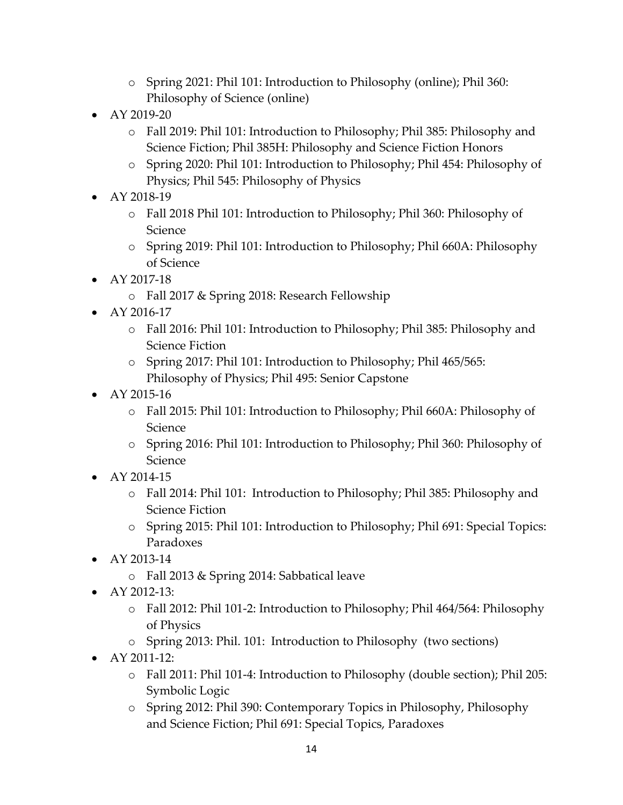- o Spring 2021: Phil 101: Introduction to Philosophy (online); Phil 360: Philosophy of Science (online)
- AY 2019-20
	- o Fall 2019: Phil 101: Introduction to Philosophy; Phil 385: Philosophy and Science Fiction; Phil 385H: Philosophy and Science Fiction Honors
	- o Spring 2020: Phil 101: Introduction to Philosophy; Phil 454: Philosophy of Physics; Phil 545: Philosophy of Physics
- AY 2018-19
	- o Fall 2018 Phil 101: Introduction to Philosophy; Phil 360: Philosophy of Science
	- o Spring 2019: Phil 101: Introduction to Philosophy; Phil 660A: Philosophy of Science
- AY 2017-18
	- o Fall 2017 & Spring 2018: Research Fellowship
- AY 2016-17
	- o Fall 2016: Phil 101: Introduction to Philosophy; Phil 385: Philosophy and Science Fiction
	- o Spring 2017: Phil 101: Introduction to Philosophy; Phil 465/565: Philosophy of Physics; Phil 495: Senior Capstone
- AY 2015-16
	- o Fall 2015: Phil 101: Introduction to Philosophy; Phil 660A: Philosophy of Science
	- o Spring 2016: Phil 101: Introduction to Philosophy; Phil 360: Philosophy of Science
- AY 2014-15
	- o Fall 2014: Phil 101: Introduction to Philosophy; Phil 385: Philosophy and Science Fiction
	- o Spring 2015: Phil 101: Introduction to Philosophy; Phil 691: Special Topics: Paradoxes
- AY 2013-14
	- o Fall 2013 & Spring 2014: Sabbatical leave
- AY 2012-13:
	- o Fall 2012: Phil 101-2: Introduction to Philosophy; Phil 464/564: Philosophy of Physics
	- o Spring 2013: Phil. 101: Introduction to Philosophy (two sections)
- AY 2011-12:
	- o Fall 2011: Phil 101-4: Introduction to Philosophy (double section); Phil 205: Symbolic Logic
	- o Spring 2012: Phil 390: Contemporary Topics in Philosophy, Philosophy and Science Fiction; Phil 691: Special Topics, Paradoxes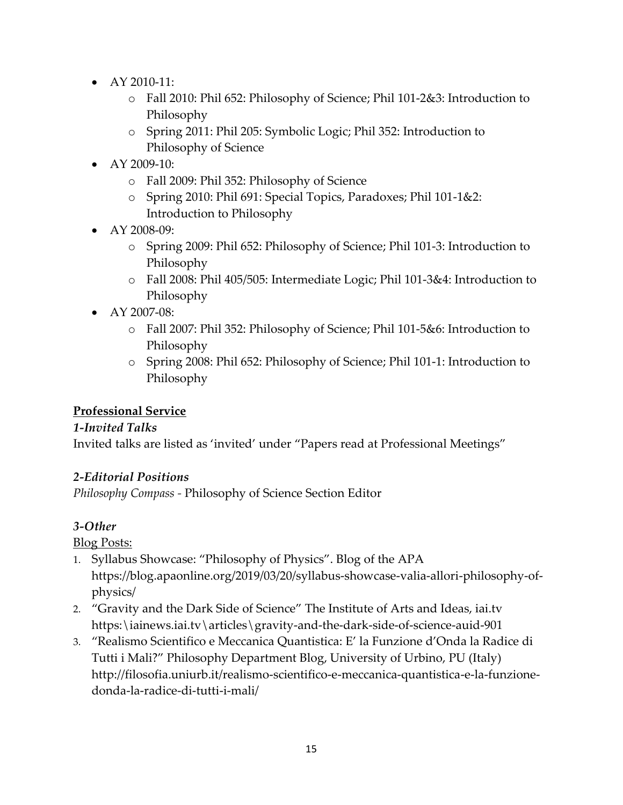- AY 2010-11:
	- o Fall 2010: Phil 652: Philosophy of Science; Phil 101-2&3: Introduction to Philosophy
	- o Spring 2011: Phil 205: Symbolic Logic; Phil 352: Introduction to Philosophy of Science
- AY 2009-10:
	- o Fall 2009: Phil 352: Philosophy of Science
	- o Spring 2010: Phil 691: Special Topics, Paradoxes; Phil 101-1&2: Introduction to Philosophy
- AY 2008-09:
	- o Spring 2009: Phil 652: Philosophy of Science; Phil 101-3: Introduction to Philosophy
	- o Fall 2008: Phil 405/505: Intermediate Logic; Phil 101-3&4: Introduction to Philosophy
- AY 2007-08:
	- o Fall 2007: Phil 352: Philosophy of Science; Phil 101-5&6: Introduction to Philosophy
	- o Spring 2008: Phil 652: Philosophy of Science; Phil 101-1: Introduction to Philosophy

#### **Professional Service**

#### *1-Invited Talks*

Invited talks are listed as 'invited' under "Papers read at Professional Meetings"

#### *2-Editorial Positions*

*Philosophy Compass -* Philosophy of Science Section Editor

#### *3-Other*

Blog Posts:

- 1. Syllabus Showcase: "Philosophy of Physics". Blog of the APA https://blog.apaonline.org/2019/03/20/syllabus-showcase-valia-allori-philosophy-ofphysics/
- 2. "Gravity and the Dark Side of Science" The Institute of Arts and Ideas, iai.tv https:\iainews.iai.tv\articles\gravity-and-the-dark-side-of-science-auid-901
- 3. "Realismo Scientifico e Meccanica Quantistica: E' la Funzione d'Onda la Radice di Tutti i Mali?" Philosophy Department Blog, University of Urbino, PU (Italy) http://filosofia.uniurb.it/realismo-scientifico-e-meccanica-quantistica-e-la-funzionedonda-la-radice-di-tutti-i-mali/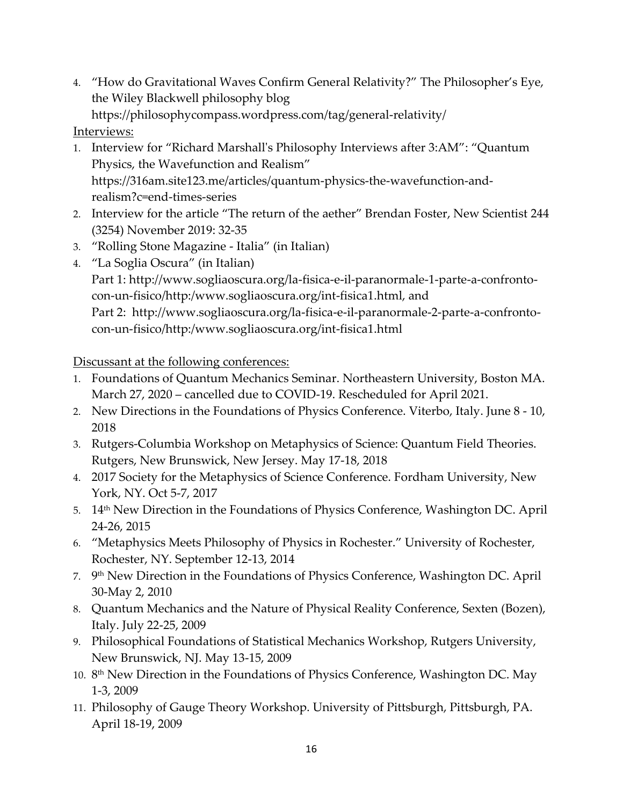4. "How do Gravitational Waves Confirm General Relativity?" The Philosopher's Eye, the Wiley Blackwell philosophy blog

https://philosophycompass.wordpress.com/tag/general-relativity/

Interviews:

- 1. Interview for "Richard Marshall's Philosophy Interviews after 3:AM": "Quantum Physics, the Wavefunction and Realism" https://316am.site123.me/articles/quantum-physics-the-wavefunction-andrealism?c=end-times-series
- 2. Interview for the article "The return of the aether" Brendan Foster, New Scientist 244 (3254) November 2019: 32-35
- 3. "Rolling Stone Magazine Italia" (in Italian)
- 4. "La Soglia Oscura" (in Italian) Part 1: http://www.sogliaoscura.org/la-fisica-e-il-paranormale-1-parte-a-confrontocon-un-fisico/http:/www.sogliaoscura.org/int-fisica1.html, and Part 2: http://www.sogliaoscura.org/la-fisica-e-il-paranormale-2-parte-a-confrontocon-un-fisico/http:/www.sogliaoscura.org/int-fisica1.html

Discussant at the following conferences:

- 1. Foundations of Quantum Mechanics Seminar. Northeastern University, Boston MA. March 27, 2020 – cancelled due to COVID-19. Rescheduled for April 2021.
- 2. New Directions in the Foundations of Physics Conference. Viterbo, Italy. June 8 10, 2018
- 3. Rutgers-Columbia Workshop on Metaphysics of Science: Quantum Field Theories. Rutgers, New Brunswick, New Jersey. May 17-18, 2018
- 4. 2017 Society for the Metaphysics of Science Conference. Fordham University, New York, NY. Oct 5-7, 2017
- 5.  $14<sup>th</sup>$  New Direction in the Foundations of Physics Conference, Washington DC. April 24-26, 2015
- 6. "Metaphysics Meets Philosophy of Physics in Rochester." University of Rochester, Rochester, NY. September 12-13, 2014
- 7. 9<sup>th</sup> New Direction in the Foundations of Physics Conference, Washington DC. April 30-May 2, 2010
- 8. Quantum Mechanics and the Nature of Physical Reality Conference, Sexten (Bozen), Italy. July 22-25, 2009
- 9. Philosophical Foundations of Statistical Mechanics Workshop, Rutgers University, New Brunswick, NJ. May 13-15, 2009
- 10. 8<sup>th</sup> New Direction in the Foundations of Physics Conference, Washington DC. May 1-3, 2009
- 11. Philosophy of Gauge Theory Workshop. University of Pittsburgh, Pittsburgh, PA. April 18-19, 2009